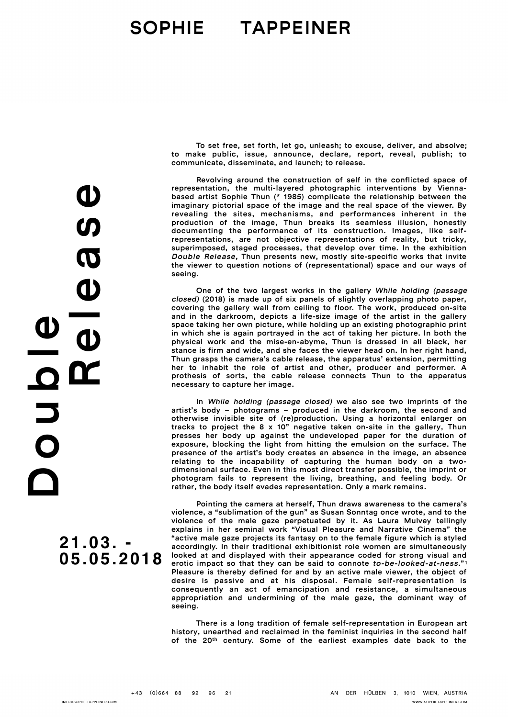## SOPHIE TAPPEINER

To set free, set forth, let go, unleash; to excuse, deliver, and absolve; to make public, issue, announce, declare, report, reveal, publish; to communicate, disseminate, and launch; to release.

Revolving around the construction of self in the conflicted space of representation, the multi-layered photographic interventions by Viennabased artist Sophie Thun (\* 1985) complicate the relationship between the imaginary pictorial space of the image and the real space of the viewer. By revealing the sites, mechanisms, and performances inherent in the production of the image, Thun breaks its seamless illusion, honestly documenting the performance of its construction. Images, like selfrepresentations, are not objective representations of reality, but tricky, superimposed, staged processes, that develop over time. In the exhibition *Double Release*, Thun presents new, mostly site-specific works that invite the viewer to question notions of (representational) space and our ways of seeing.

One of the two largest works in the gallery *While holding (passage closed)* (2018) is made up of six panels of slightly overlapping photo paper, covering the gallery wall from ceiling to floor. The work, produced on-site and in the darkroom, depicts a life-size image of the artist in the gallery space taking her own picture, while holding up an existing photographic print in which she is again portrayed in the act of taking her picture. In both the physical work and the mise-en-abyme, Thun is dressed in all black, her stance is firm and wide, and she faces the viewer head on. In her right hand, Thun grasps the camera's cable release, the apparatus' extension, permitting her to inhabit the role of artist and other, producer and performer. A prothesis of sorts, the cable release connects Thun to the apparatus necessary to capture her image.

In *While holding (passage closed)* we also see two imprints of the artist's body – photograms – produced in the darkroom, the second and otherwise invisible site of (re)production. Using a horizontal enlarger on tracks to project the 8 x 10" negative taken on-site in the gallery, Thun presses her body up against the undeveloped paper for the duration of exposure, blocking the light from hitting the emulsion on the surface. The presence of the artist's body creates an absence in the image, an absence relating to the incapability of capturing the human body on a twodimensional surface. Even in this most direct transfer possible, the imprint or photogram fails to represent the living, breathing, and feeling body. Or rather, the body itself evades representation. Only a mark remains.

<span id="page-0-0"></span>Pointing the camera at herself, Thun draws awareness to the camera's violence, a "sublimation of the gun" as Susan Sonntag once wrote, and to the violence of the male gaze perpetuated by it. As Laura Mulvey tellingly explains in her seminal work "Visual Pleasure and Narrative Cinema" the "active male gaze projects its fantasy on to the female figure which is styled accordingly. In their traditional exhibitionist role women are simultaneously looked at and displayed with their appearance coded for strong visual and erotic impact so that they can be said to connote *to-be-looked-at-ness*." [1](#page-1-0) Pleasure is thereby defined for and by an active male viewer, the object of desire is passive and at his disposal. Female self-representation is consequently an act of emancipation and resistance, a simultaneous appropriation and undermining of the male gaze, the dominant way of seeing.

There is a long tradition of female self-representation in European art history, unearthed and reclaimed in the feminist inquiries in the second half of the 20th century. Some of the earliest examples date back to the

Release  $\bf \Phi$ D o u b l e U<br>D<br>O

> **21.03. - 05.05.2018**